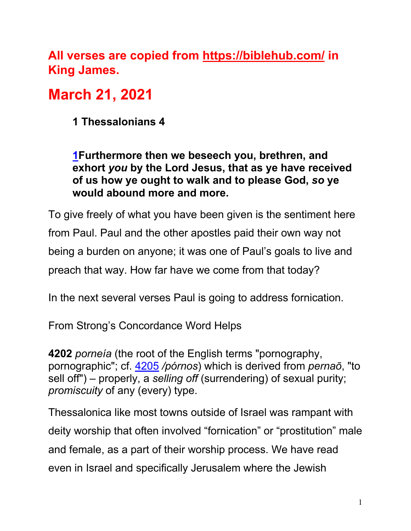**All verses are copied from https://biblehub.com/ in King James.** 

# **March 21, 2021**

**1 Thessalonians 4**

**1Furthermore then we beseech you, brethren, and exhort** *you* **by the Lord Jesus, that as ye have received of us how ye ought to walk and to please God,** *so* **ye would abound more and more.**

To give freely of what you have been given is the sentiment here from Paul. Paul and the other apostles paid their own way not being a burden on anyone; it was one of Paul's goals to live and preach that way. How far have we come from that today?

In the next several verses Paul is going to address fornication.

From Strong's Concordance Word Helps

**4202** *porneía* (the root of the English terms "pornography, pornographic"; cf. 4205 */pórnos*) which is derived from *pernaō*, "to sell off") – properly, a *selling off* (surrendering) of sexual purity; *promiscuity* of any (every) type.

Thessalonica like most towns outside of Israel was rampant with deity worship that often involved "fornication" or "prostitution" male and female, as a part of their worship process. We have read even in Israel and specifically Jerusalem where the Jewish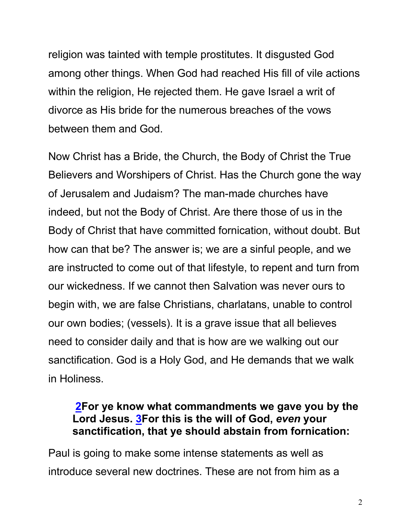religion was tainted with temple prostitutes. It disgusted God among other things. When God had reached His fill of vile actions within the religion, He rejected them. He gave Israel a writ of divorce as His bride for the numerous breaches of the vows between them and God.

Now Christ has a Bride, the Church, the Body of Christ the True Believers and Worshipers of Christ. Has the Church gone the way of Jerusalem and Judaism? The man-made churches have indeed, but not the Body of Christ. Are there those of us in the Body of Christ that have committed fornication, without doubt. But how can that be? The answer is; we are a sinful people, and we are instructed to come out of that lifestyle, to repent and turn from our wickedness. If we cannot then Salvation was never ours to begin with, we are false Christians, charlatans, unable to control our own bodies; (vessels). It is a grave issue that all believes need to consider daily and that is how are we walking out our sanctification. God is a Holy God, and He demands that we walk in Holiness.

#### **2For ye know what commandments we gave you by the Lord Jesus. 3For this is the will of God,** *even* **your sanctification, that ye should abstain from fornication:**

Paul is going to make some intense statements as well as introduce several new doctrines. These are not from him as a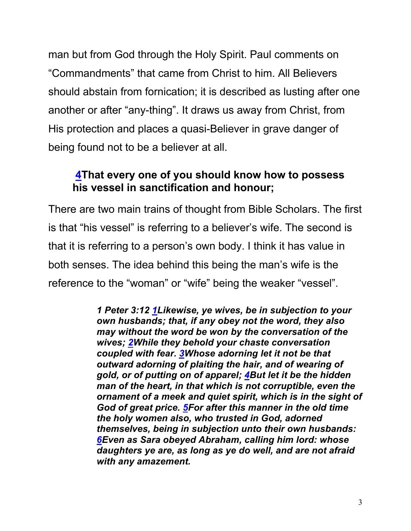man but from God through the Holy Spirit. Paul comments on "Commandments" that came from Christ to him. All Believers should abstain from fornication; it is described as lusting after one another or after "any-thing". It draws us away from Christ, from His protection and places a quasi-Believer in grave danger of being found not to be a believer at all.

#### **4That every one of you should know how to possess his vessel in sanctification and honour;**

There are two main trains of thought from Bible Scholars. The first is that "his vessel" is referring to a believer's wife. The second is that it is referring to a person's own body. I think it has value in both senses. The idea behind this being the man's wife is the reference to the "woman" or "wife" being the weaker "vessel".

> *1 Peter 3:12 1Likewise, ye wives, be in subjection to your own husbands; that, if any obey not the word, they also may without the word be won by the conversation of the wives; 2While they behold your chaste conversation coupled with fear. 3Whose adorning let it not be that outward adorning of plaiting the hair, and of wearing of gold, or of putting on of apparel; 4But let it be the hidden man of the heart, in that which is not corruptible, even the ornament of a meek and quiet spirit, which is in the sight of God of great price. 5For after this manner in the old time the holy women also, who trusted in God, adorned themselves, being in subjection unto their own husbands: 6Even as Sara obeyed Abraham, calling him lord: whose daughters ye are, as long as ye do well, and are not afraid with any amazement.*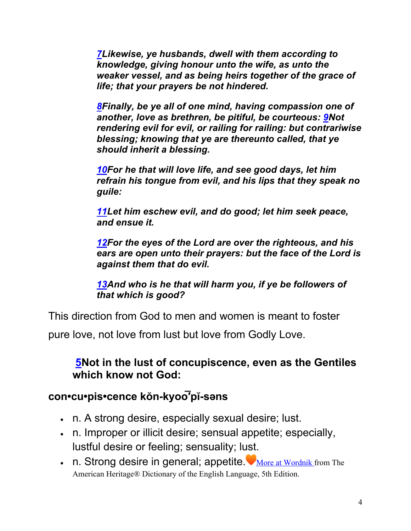*7Likewise, ye husbands, dwell with them according to knowledge, giving honour unto the wife, as unto the weaker vessel, and as being heirs together of the grace of life; that your prayers be not hindered.*

*8Finally, be ye all of one mind, having compassion one of another, love as brethren, be pitiful, be courteous: 9Not rendering evil for evil, or railing for railing: but contrariwise blessing; knowing that ye are thereunto called, that ye should inherit a blessing.*

*10For he that will love life, and see good days, let him refrain his tongue from evil, and his lips that they speak no guile:*

*11Let him eschew evil, and do good; let him seek peace, and ensue it.*

*12For the eyes of the Lord are over the righteous, and his ears are open unto their prayers: but the face of the Lord is against them that do evil.*

*13And who is he that will harm you, if ye be followers of that which is good?*

This direction from God to men and women is meant to foster

pure love, not love from lust but love from Godly Love.

#### **5Not in the lust of concupiscence, even as the Gentiles which know not God:**

# **con•cu•pis•cence kŏn-kyoo͞′pĭ-səns**

- n. A strong desire, especially sexual desire; lust.
- n. Improper or illicit desire; sensual appetite; especially, lustful desire or feeling; sensuality; lust.
- n. Strong desire in general; appetite. More at Wordnik from The American Heritage® Dictionary of the English Language, 5th Edition.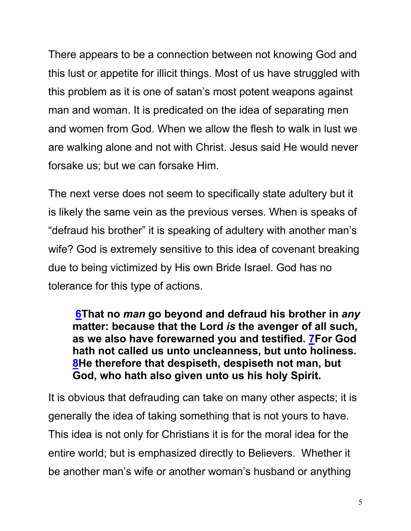There appears to be a connection between not knowing God and this lust or appetite for illicit things. Most of us have struggled with this problem as it is one of satan's most potent weapons against man and woman. It is predicated on the idea of separating men and women from God. When we allow the flesh to walk in lust we are walking alone and not with Christ. Jesus said He would never forsake us; but we can forsake Him.

The next verse does not seem to specifically state adultery but it is likely the same vein as the previous verses. When is speaks of "defraud his brother" it is speaking of adultery with another man's wife? God is extremely sensitive to this idea of covenant breaking due to being victimized by His own Bride Israel. God has no tolerance for this type of actions.

**6That no** *man* **go beyond and defraud his brother in** *any* **matter: because that the Lord** *is* **the avenger of all such, as we also have forewarned you and testified. 7For God hath not called us unto uncleanness, but unto holiness. 8He therefore that despiseth, despiseth not man, but God, who hath also given unto us his holy Spirit.**

It is obvious that defrauding can take on many other aspects; it is generally the idea of taking something that is not yours to have. This idea is not only for Christians it is for the moral idea for the entire world; but is emphasized directly to Believers. Whether it be another man's wife or another woman's husband or anything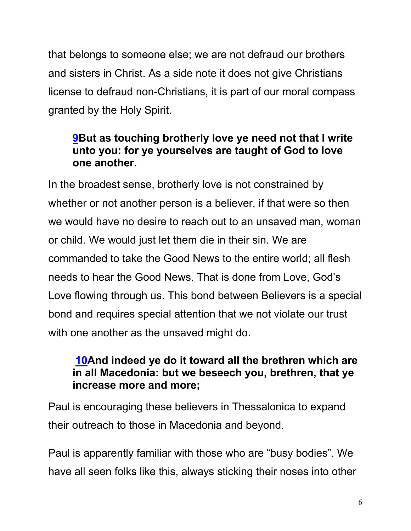that belongs to someone else; we are not defraud our brothers and sisters in Christ. As a side note it does not give Christians license to defraud non-Christians, it is part of our moral compass granted by the Holy Spirit.

#### **9But as touching brotherly love ye need not that I write unto you: for ye yourselves are taught of God to love one another.**

In the broadest sense, brotherly love is not constrained by whether or not another person is a believer, if that were so then we would have no desire to reach out to an unsaved man, woman or child. We would just let them die in their sin. We are commanded to take the Good News to the entire world; all flesh needs to hear the Good News. That is done from Love, God's Love flowing through us. This bond between Believers is a special bond and requires special attention that we not violate our trust with one another as the unsaved might do.

#### **10And indeed ye do it toward all the brethren which are in all Macedonia: but we beseech you, brethren, that ye increase more and more;**

Paul is encouraging these believers in Thessalonica to expand their outreach to those in Macedonia and beyond.

Paul is apparently familiar with those who are "busy bodies". We have all seen folks like this, always sticking their noses into other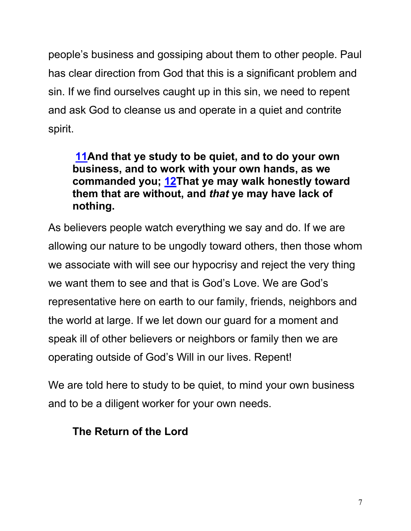people's business and gossiping about them to other people. Paul has clear direction from God that this is a significant problem and sin. If we find ourselves caught up in this sin, we need to repent and ask God to cleanse us and operate in a quiet and contrite spirit.

#### **11And that ye study to be quiet, and to do your own business, and to work with your own hands, as we commanded you; 12That ye may walk honestly toward them that are without, and** *that* **ye may have lack of nothing.**

As believers people watch everything we say and do. If we are allowing our nature to be ungodly toward others, then those whom we associate with will see our hypocrisy and reject the very thing we want them to see and that is God's Love. We are God's representative here on earth to our family, friends, neighbors and the world at large. If we let down our guard for a moment and speak ill of other believers or neighbors or family then we are operating outside of God's Will in our lives. Repent!

We are told here to study to be quiet, to mind your own business and to be a diligent worker for your own needs.

## **The Return of the Lord**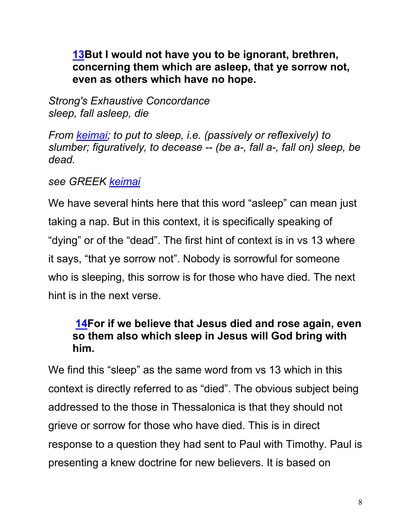#### **13But I would not have you to be ignorant, brethren, concerning them which are asleep, that ye sorrow not, even as others which have no hope.**

*Strong's Exhaustive Concordance sleep, fall asleep, die*

*From keimai; to put to sleep, i.e. (passively or reflexively) to slumber; figuratively, to decease -- (be a-, fall a-, fall on) sleep, be dead.* 

#### *see GREEK keimai*

We have several hints here that this word "asleep" can mean just taking a nap. But in this context, it is specifically speaking of "dying" or of the "dead". The first hint of context is in vs 13 where it says, "that ye sorrow not". Nobody is sorrowful for someone who is sleeping, this sorrow is for those who have died. The next hint is in the next verse.

#### **14For if we believe that Jesus died and rose again, even so them also which sleep in Jesus will God bring with him.**

We find this "sleep" as the same word from vs 13 which in this context is directly referred to as "died". The obvious subject being addressed to the those in Thessalonica is that they should not grieve or sorrow for those who have died. This is in direct response to a question they had sent to Paul with Timothy. Paul is presenting a knew doctrine for new believers. It is based on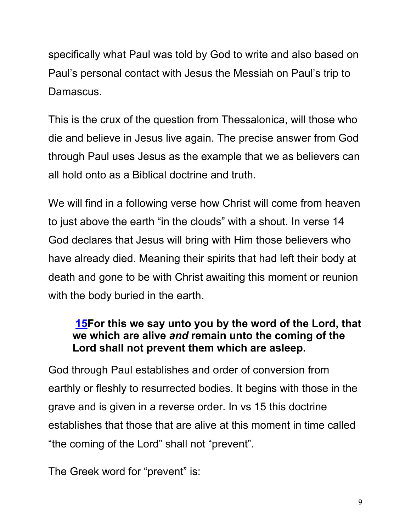specifically what Paul was told by God to write and also based on Paul's personal contact with Jesus the Messiah on Paul's trip to Damascus.

This is the crux of the question from Thessalonica, will those who die and believe in Jesus live again. The precise answer from God through Paul uses Jesus as the example that we as believers can all hold onto as a Biblical doctrine and truth.

We will find in a following verse how Christ will come from heaven to just above the earth "in the clouds" with a shout. In verse 14 God declares that Jesus will bring with Him those believers who have already died. Meaning their spirits that had left their body at death and gone to be with Christ awaiting this moment or reunion with the body buried in the earth.

#### **15For this we say unto you by the word of the Lord, that we which are alive** *and* **remain unto the coming of the Lord shall not prevent them which are asleep.**

God through Paul establishes and order of conversion from earthly or fleshly to resurrected bodies. It begins with those in the grave and is given in a reverse order. In vs 15 this doctrine establishes that those that are alive at this moment in time called "the coming of the Lord" shall not "prevent".

The Greek word for "prevent" is: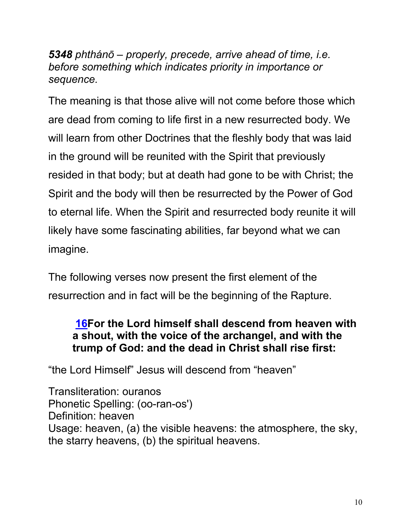*5348 phthánō – properly, precede, arrive ahead of time, i.e. before something which indicates priority in importance or sequence.*

The meaning is that those alive will not come before those which are dead from coming to life first in a new resurrected body. We will learn from other Doctrines that the fleshly body that was laid in the ground will be reunited with the Spirit that previously resided in that body; but at death had gone to be with Christ; the Spirit and the body will then be resurrected by the Power of God to eternal life. When the Spirit and resurrected body reunite it will likely have some fascinating abilities, far beyond what we can imagine.

The following verses now present the first element of the resurrection and in fact will be the beginning of the Rapture.

#### **16For the Lord himself shall descend from heaven with a shout, with the voice of the archangel, and with the trump of God: and the dead in Christ shall rise first:**

"the Lord Himself" Jesus will descend from "heaven"

Transliteration: ouranos Phonetic Spelling: (oo-ran-os') Definition: heaven Usage: heaven, (a) the visible heavens: the atmosphere, the sky, the starry heavens, (b) the spiritual heavens.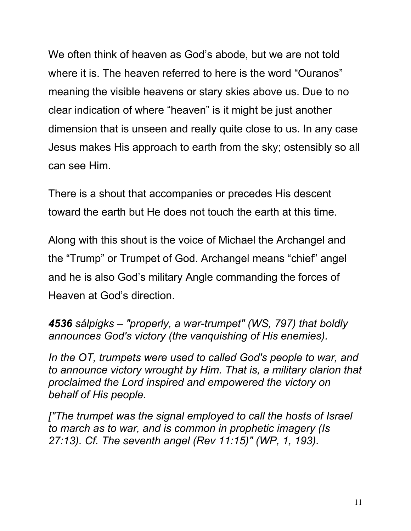We often think of heaven as God's abode, but we are not told where it is. The heaven referred to here is the word "Ouranos" meaning the visible heavens or stary skies above us. Due to no clear indication of where "heaven" is it might be just another dimension that is unseen and really quite close to us. In any case Jesus makes His approach to earth from the sky; ostensibly so all can see Him.

There is a shout that accompanies or precedes His descent toward the earth but He does not touch the earth at this time.

Along with this shout is the voice of Michael the Archangel and the "Trump" or Trumpet of God. Archangel means "chief" angel and he is also God's military Angle commanding the forces of Heaven at God's direction.

*4536 sálpigks – "properly, a war-trumpet" (WS, 797) that boldly announces God's victory (the vanquishing of His enemies).*

*In the OT, trumpets were used to called God's people to war, and to announce victory wrought by Him. That is, a military clarion that proclaimed the Lord inspired and empowered the victory on behalf of His people.*

*["The trumpet was the signal employed to call the hosts of Israel to march as to war, and is common in prophetic imagery (Is 27:13). Cf. The seventh angel (Rev 11:15)" (WP, 1, 193).*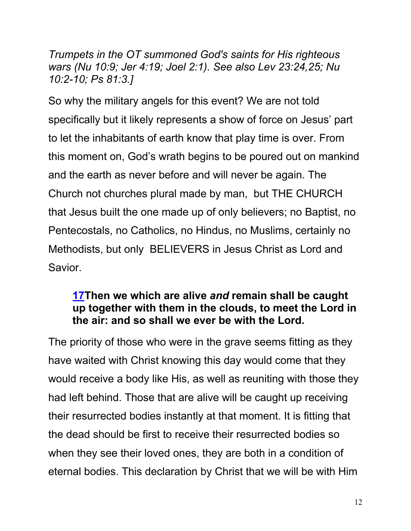*Trumpets in the OT summoned God's saints for His righteous wars (Nu 10:9; Jer 4:19; Joel 2:1). See also Lev 23:24,25; Nu 10:2-10; Ps 81:3.]*

So why the military angels for this event? We are not told specifically but it likely represents a show of force on Jesus' part to let the inhabitants of earth know that play time is over. From this moment on, God's wrath begins to be poured out on mankind and the earth as never before and will never be again. The Church not churches plural made by man, but THE CHURCH that Jesus built the one made up of only believers; no Baptist, no Pentecostals, no Catholics, no Hindus, no Muslims, certainly no Methodists, but only BELIEVERS in Jesus Christ as Lord and Savior.

#### **17Then we which are alive** *and* **remain shall be caught up together with them in the clouds, to meet the Lord in the air: and so shall we ever be with the Lord.**

The priority of those who were in the grave seems fitting as they have waited with Christ knowing this day would come that they would receive a body like His, as well as reuniting with those they had left behind. Those that are alive will be caught up receiving their resurrected bodies instantly at that moment. It is fitting that the dead should be first to receive their resurrected bodies so when they see their loved ones, they are both in a condition of eternal bodies. This declaration by Christ that we will be with Him